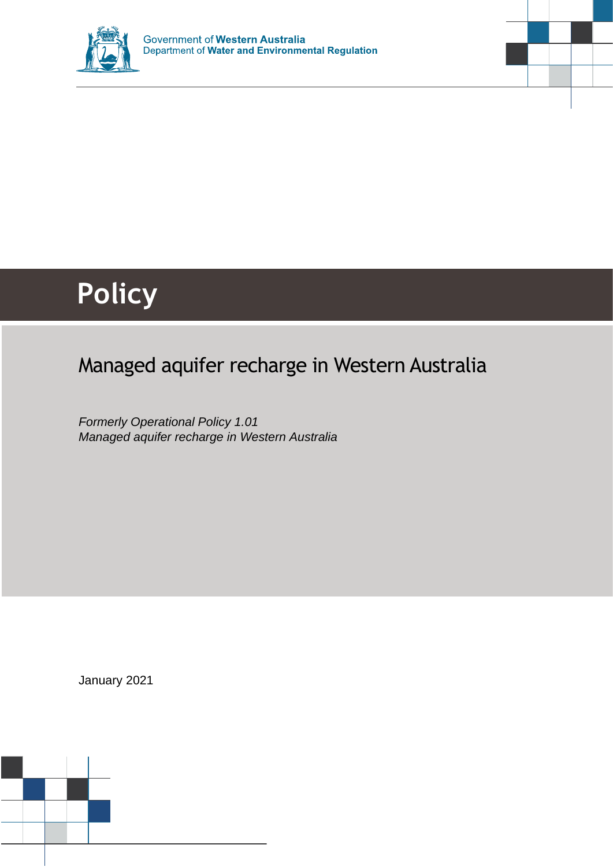



# Managed aquifer recharge in Western Australia

*Formerly Operational Policy 1.01 Managed aquifer recharge in Western Australia*

January 2021

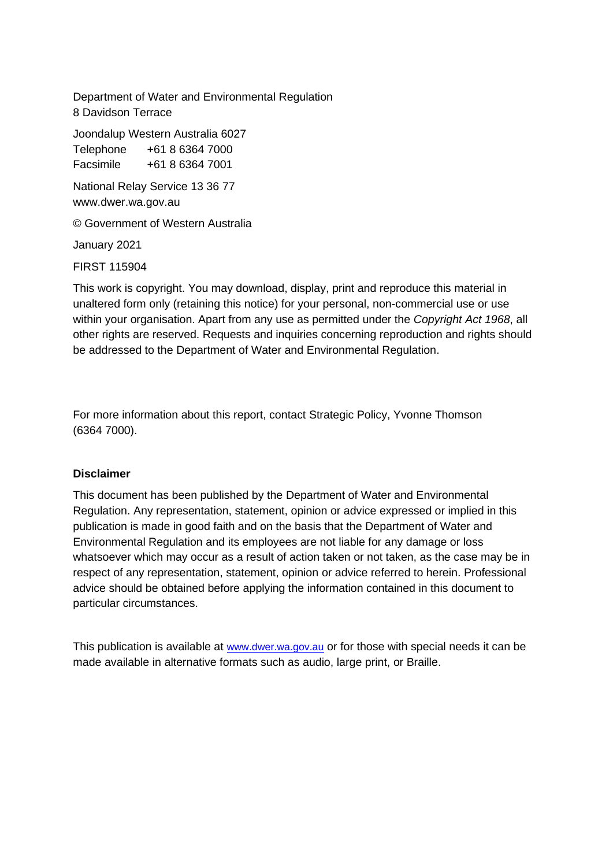Department of Water and Environmental Regulation 8 Davidson Terrace

Joondalup Western Australia 6027 Telephone +61 8 6364 7000

Facsimile +61 8 6364 7001

National Relay Service 13 36 77 www.dwer.wa.gov.au

© Government of Western Australia

January 2021

FIRST 115904

This work is copyright. You may download, display, print and reproduce this material in unaltered form only (retaining this notice) for your personal, non-commercial use or use within your organisation. Apart from any use as permitted under the *Copyright Act 1968*, all other rights are reserved. Requests and inquiries concerning reproduction and rights should be addressed to the Department of Water and Environmental Regulation.

For more information about this report, contact Strategic Policy, Yvonne Thomson (6364 7000).

### **Disclaimer**

This document has been published by the Department of Water and Environmental Regulation. Any representation, statement, opinion or advice expressed or implied in this publication is made in good faith and on the basis that the Department of Water and Environmental Regulation and its employees are not liable for any damage or loss whatsoever which may occur as a result of action taken or not taken, as the case may be in respect of any representation, statement, opinion or advice referred to herein. Professional advice should be obtained before applying the information contained in this document to particular circumstances.

This publication is available at [www.dwer.wa.gov.au](http://www.dwer.wa.gov.au/) or for those with special needs it can be made available in alternative formats such as audio, large print, or Braille.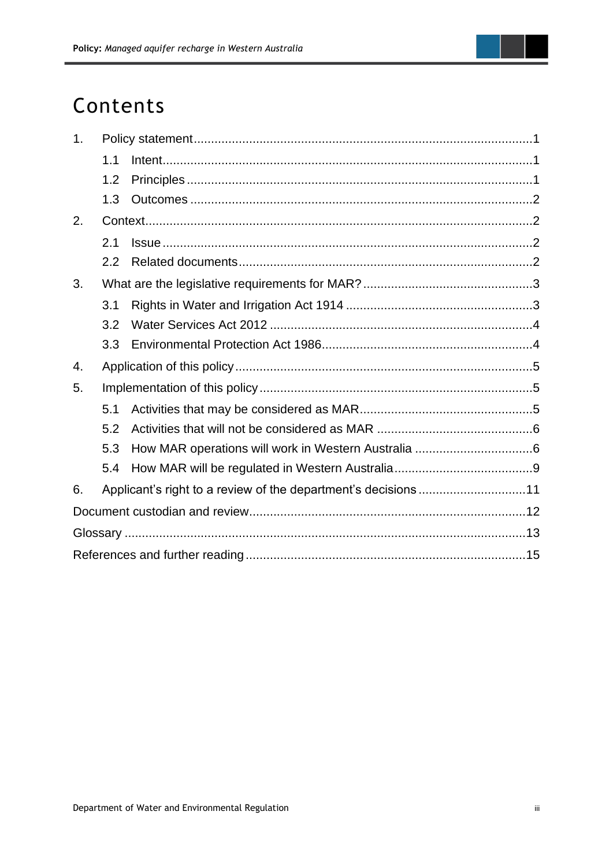

# Contents

| 1 <sub>1</sub> |                                                                |  |  |  |  |
|----------------|----------------------------------------------------------------|--|--|--|--|
|                | 1.1                                                            |  |  |  |  |
|                | 1.2                                                            |  |  |  |  |
|                | 1.3                                                            |  |  |  |  |
| 2.             |                                                                |  |  |  |  |
|                | 2.1                                                            |  |  |  |  |
|                | 2.2                                                            |  |  |  |  |
| 3.             |                                                                |  |  |  |  |
|                | 3.1                                                            |  |  |  |  |
|                | 3.2                                                            |  |  |  |  |
|                | 3.3                                                            |  |  |  |  |
| 4.             |                                                                |  |  |  |  |
| 5.             |                                                                |  |  |  |  |
|                | 5.1                                                            |  |  |  |  |
|                | 5.2                                                            |  |  |  |  |
|                | 5.3                                                            |  |  |  |  |
|                | 5.4                                                            |  |  |  |  |
| 6.             | Applicant's right to a review of the department's decisions 11 |  |  |  |  |
|                |                                                                |  |  |  |  |
|                |                                                                |  |  |  |  |
|                |                                                                |  |  |  |  |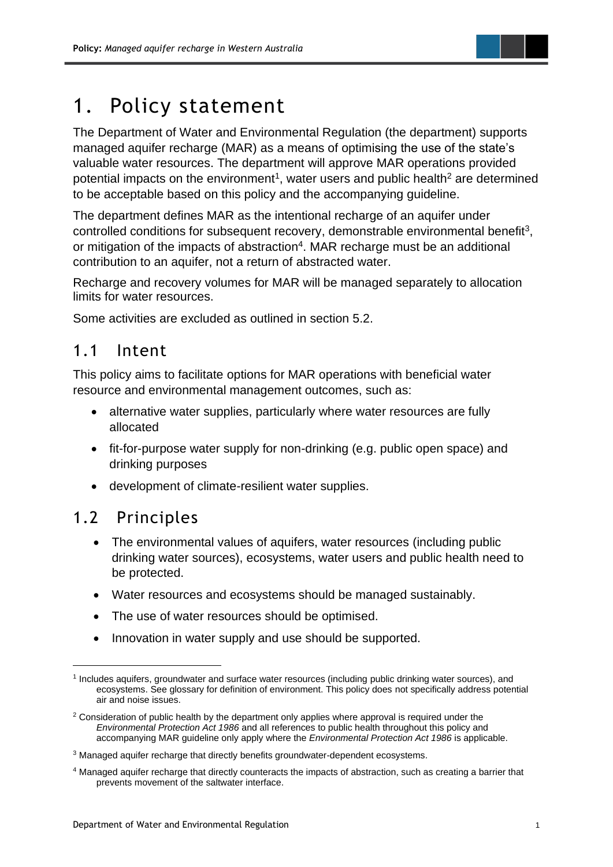

# <span id="page-3-0"></span>1. Policy statement

The Department of Water and Environmental Regulation (the department) supports managed aquifer recharge (MAR) as a means of optimising the use of the state's valuable water resources. The department will approve MAR operations provided potential impacts on the environment<sup>1</sup>, water users and public health<sup>2</sup> are determined to be acceptable based on this policy and the accompanying guideline.

The department defines MAR as the intentional recharge of an aquifer under controlled conditions for subsequent recovery, demonstrable environmental benefit<sup>3</sup>, or mitigation of the impacts of abstraction<sup>4</sup>. MAR recharge must be an additional contribution to an aquifer, not a return of abstracted water.

Recharge and recovery volumes for MAR will be managed separately to allocation limits for water resources.

Some activities are excluded as outlined in section 5.2.

### <span id="page-3-1"></span>1.1 Intent

This policy aims to facilitate options for MAR operations with beneficial water resource and environmental management outcomes, such as:

- alternative water supplies, particularly where water resources are fully allocated
- fit-for-purpose water supply for non-drinking (e.g. public open space) and drinking purposes
- development of climate-resilient water supplies.

## <span id="page-3-2"></span>1.2 Principles

- The environmental values of aquifers, water resources (including public drinking water sources), ecosystems, water users and public health need to be protected.
- Water resources and ecosystems should be managed sustainably.
- The use of water resources should be optimised.
- Innovation in water supply and use should be supported.

<sup>1</sup> Includes aquifers, groundwater and surface water resources (including public drinking water sources), and ecosystems. See glossary for definition of environment. This policy does not specifically address potential air and noise issues.

<sup>&</sup>lt;sup>2</sup> Consideration of public health by the department only applies where approval is required under the *Environmental Protection Act 1986* and all references to public health throughout this policy and accompanying MAR guideline only apply where the *Environmental Protection Act 1986* is applicable.

<sup>&</sup>lt;sup>3</sup> Managed aquifer recharge that directly benefits groundwater-dependent ecosystems.

<sup>4</sup> Managed aquifer recharge that directly counteracts the impacts of abstraction, such as creating a barrier that prevents movement of the saltwater interface.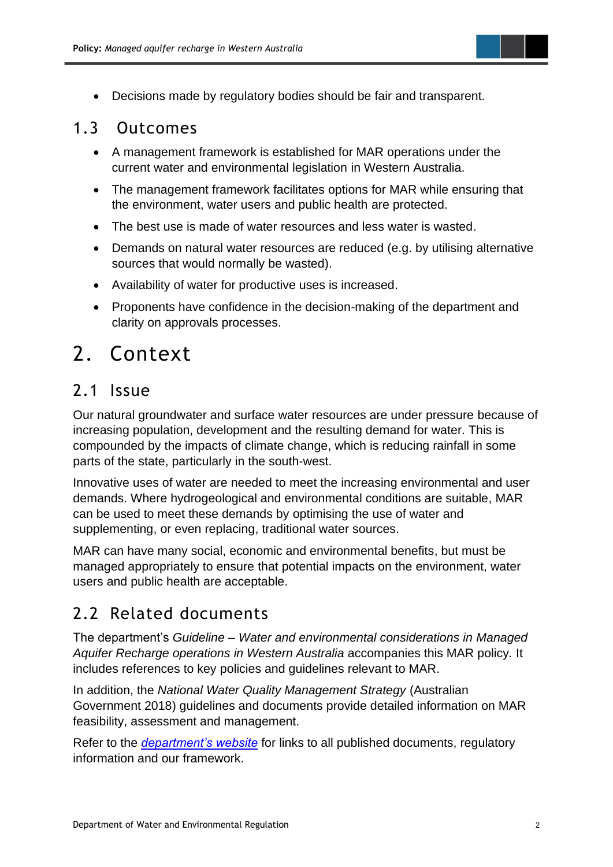

• Decisions made by regulatory bodies should be fair and transparent.

### <span id="page-4-0"></span>1.3 Outcomes

- A management framework is established for MAR operations under the current water and environmental legislation in Western Australia.
- The management framework facilitates options for MAR while ensuring that the environment, water users and public health are protected.
- The best use is made of water resources and less water is wasted.
- Demands on natural water resources are reduced (e.g. by utilising alternative sources that would normally be wasted).
- Availability of water for productive uses is increased.
- Proponents have confidence in the decision-making of the department and clarity on approvals processes.

# <span id="page-4-1"></span>2. Context

## <span id="page-4-2"></span>2.1 Issue

Our natural groundwater and surface water resources are under pressure because of increasing population, development and the resulting demand for water. This is compounded by the impacts of climate change, which is reducing rainfall in some parts of the state, particularly in the south-west.

Innovative uses of water are needed to meet the increasing environmental and user demands. Where hydrogeological and environmental conditions are suitable, MAR can be used to meet these demands by optimising the use of water and supplementing, or even replacing, traditional water sources.

MAR can have many social, economic and environmental benefits, but must be managed appropriately to ensure that potential impacts on the environment, water users and public health are acceptable.

## <span id="page-4-3"></span>2.2 Related documents

The department's *Guideline* – *Water and environmental considerations in Managed Aquifer Recharge operations in Western Australia* accompanies this MAR policy*.* It includes references to key policies and guidelines relevant to MAR.

In addition, the *National Water Quality Management Strategy* (Australian Government 2018) guidelines and documents provide detailed information on MAR feasibility, assessment and management.

Refer to the *[department's website](https://aus01.safelinks.protection.outlook.com/?url=https%3A%2F%2Fdwer.wa.gov.au%2Fregulatory-documents&data=02%7C01%7Cyvonne.thomson%40dwer.wa.gov.au%7C5a8e038704ab42568cf108d8134614ed%7C53ebe217aa1e46feb88e9d762dec2ef6%7C0%7C0%7C637280539009632730&sdata=5NYiz0M9%2FJqnGeRdlcquoEf5YNHXZxb%2BGo3wRVUjVhw%3D&reserved=0)* for links to all published documents, regulatory information and our framework.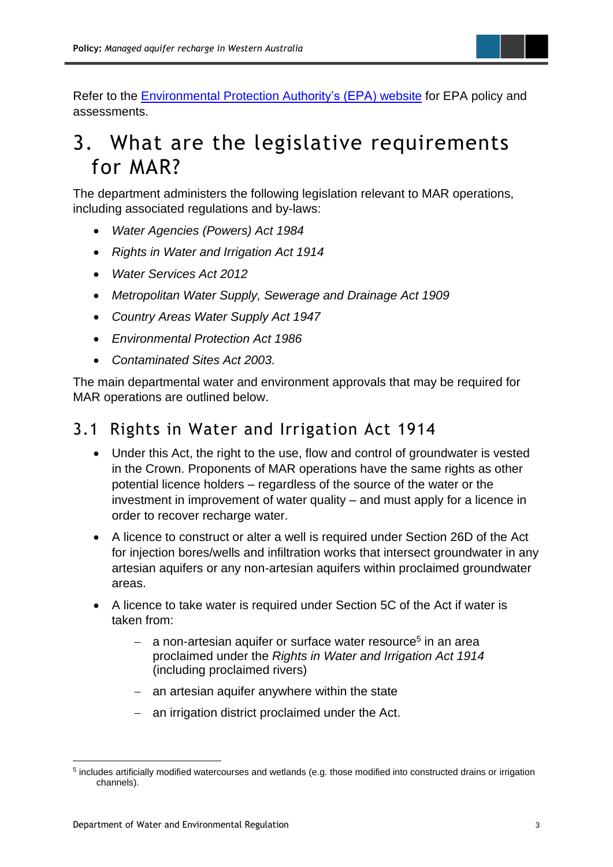

Refer to the **Environmental Protection Authority's (EPA) website** for EPA policy and assessments.

# <span id="page-5-0"></span>3. What are the legislative requirements for MAR?

The department administers the following legislation relevant to MAR operations, including associated regulations and by-laws:

- *Water Agencies (Powers) Act 1984*
- *Rights in Water and Irrigation Act 1914*
- *Water Services Act 2012*
- *Metropolitan Water Supply, Sewerage and Drainage Act 1909*
- *Country Areas Water Supply Act 1947*
- *Environmental Protection Act 1986*
- *Contaminated Sites Act 2003.*

The main departmental water and environment approvals that may be required for MAR operations are outlined below.

## <span id="page-5-1"></span>3.1 Rights in Water and Irrigation Act 1914

- Under this Act, the right to the use, flow and control of groundwater is vested in the Crown. Proponents of MAR operations have the same rights as other potential licence holders – regardless of the source of the water or the investment in improvement of water quality – and must apply for a licence in order to recover recharge water.
- A licence to construct or alter a well is required under Section 26D of the Act for injection bores/wells and infiltration works that intersect groundwater in any artesian aquifers or any non-artesian aquifers within proclaimed groundwater areas.
- A licence to take water is required under Section 5C of the Act if water is taken from:
	- − a non-artesian aquifer or surface water resource<sup>5</sup> in an area proclaimed under the *Rights in Water and Irrigation Act 1914* (including proclaimed rivers)
	- − an artesian aquifer anywhere within the state
	- − an irrigation district proclaimed under the Act.

<sup>&</sup>lt;sup>5</sup> includes artificially modified watercourses and wetlands (e.g. those modified into constructed drains or irrigation channels).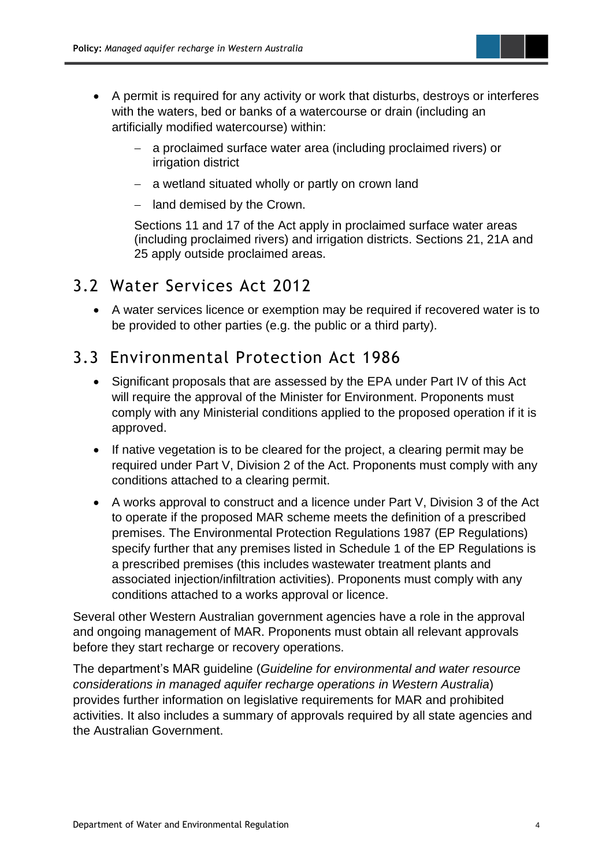

- A permit is required for any activity or work that disturbs, destroys or interferes with the waters, bed or banks of a watercourse or drain (including an artificially modified watercourse) within:
	- a proclaimed surface water area (including proclaimed rivers) or irrigation district
	- − a wetland situated wholly or partly on crown land
	- − land demised by the Crown.

Sections 11 and 17 of the Act apply in proclaimed surface water areas (including proclaimed rivers) and irrigation districts. Sections 21, 21A and 25 apply outside proclaimed areas.

## <span id="page-6-0"></span>3.2 Water Services Act 2012

• A water services licence or exemption may be required if recovered water is to be provided to other parties (e.g. the public or a third party).

## <span id="page-6-1"></span>3.3 Environmental Protection Act 1986

- Significant proposals that are assessed by the EPA under Part IV of this Act will require the approval of the Minister for Environment. Proponents must comply with any Ministerial conditions applied to the proposed operation if it is approved.
- If native vegetation is to be cleared for the project, a clearing permit may be required under Part V, Division 2 of the Act. Proponents must comply with any conditions attached to a clearing permit.
- A works approval to construct and a licence under Part V, Division 3 of the Act to operate if the proposed MAR scheme meets the definition of a prescribed premises. The Environmental Protection Regulations 1987 (EP Regulations) specify further that any premises listed in Schedule 1 of the EP Regulations is a prescribed premises (this includes wastewater treatment plants and associated injection/infiltration activities). Proponents must comply with any conditions attached to a works approval or licence.

Several other Western Australian government agencies have a role in the approval and ongoing management of MAR. Proponents must obtain all relevant approvals before they start recharge or recovery operations.

The department's MAR guideline (*Guideline for environmental and water resource considerations in managed aquifer recharge operations in Western Australia*) provides further information on legislative requirements for MAR and prohibited activities. It also includes a summary of approvals required by all state agencies and the Australian Government.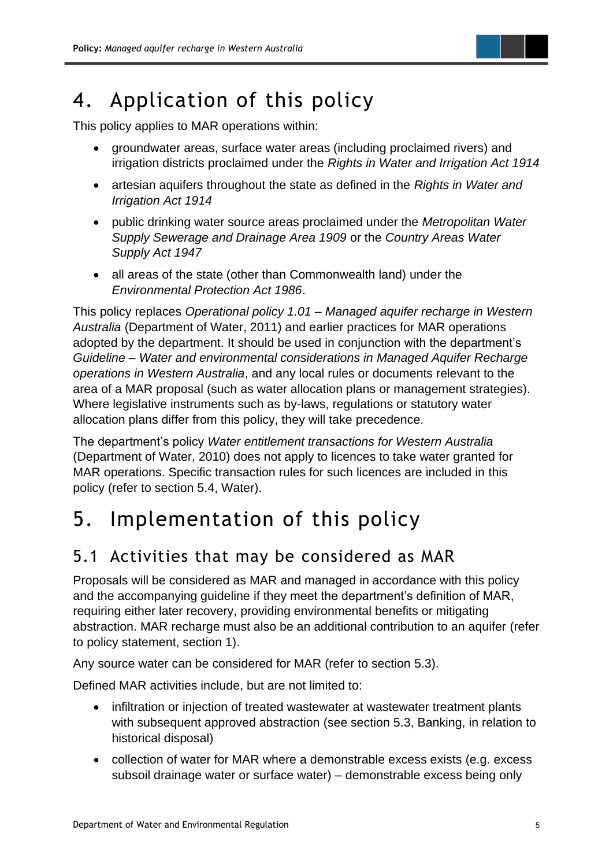

# <span id="page-7-0"></span>4. Application of this policy

This policy applies to MAR operations within:

- groundwater areas, surface water areas (including proclaimed rivers) and irrigation districts proclaimed under the *Rights in Water and Irrigation Act 1914*
- artesian aquifers throughout the state as defined in the *Rights in Water and Irrigation Act 1914*
- public drinking water source areas proclaimed under the *Metropolitan Water Supply Sewerage and Drainage Area 1909* or the *Country Areas Water Supply Act 1947*
- all areas of the state (other than Commonwealth land) under the *Environmental Protection Act 1986*.

This policy replaces *Operational policy 1.01 – Managed aquifer recharge in Western Australia* (Department of Water, 2011) and earlier practices for MAR operations adopted by the department. It should be used in conjunction with the department's *Guideline* – *Water and environmental considerations in Managed Aquifer Recharge operations in Western Australia*, and any local rules or documents relevant to the area of a MAR proposal (such as water allocation plans or management strategies). Where legislative instruments such as by-laws, regulations or statutory water allocation plans differ from this policy, they will take precedence.

The department's policy *Water entitlement transactions for Western Australia* (Department of Water, 2010) does not apply to licences to take water granted for MAR operations. Specific transaction rules for such licences are included in this policy (refer to section 5.4, Water).

# <span id="page-7-1"></span>5. Implementation of this policy

## <span id="page-7-2"></span>5.1 Activities that may be considered as MAR

Proposals will be considered as MAR and managed in accordance with this policy and the accompanying guideline if they meet the department's definition of MAR, requiring either later recovery, providing environmental benefits or mitigating abstraction. MAR recharge must also be an additional contribution to an aquifer (refer to policy statement, section 1).

Any source water can be considered for MAR (refer to section 5.3).

Defined MAR activities include, but are not limited to:

- infiltration or injection of treated wastewater at wastewater treatment plants with subsequent approved abstraction (see section 5.3, Banking, in relation to historical disposal)
- collection of water for MAR where a demonstrable excess exists (e.g. excess subsoil drainage water or surface water) – demonstrable excess being only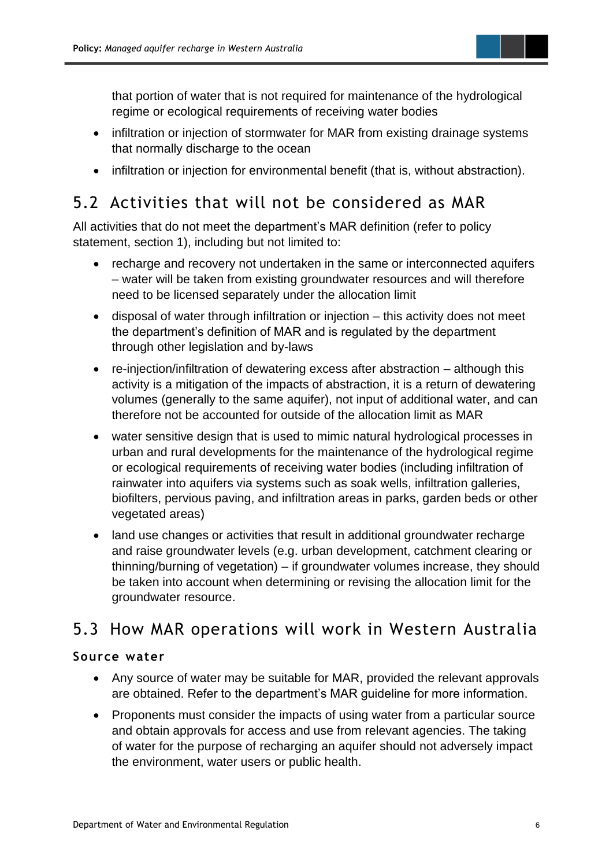

that portion of water that is not required for maintenance of the hydrological regime or ecological requirements of receiving water bodies

- infiltration or injection of stormwater for MAR from existing drainage systems that normally discharge to the ocean
- infiltration or injection for environmental benefit (that is, without abstraction).

## <span id="page-8-0"></span>5.2 Activities that will not be considered as MAR

All activities that do not meet the department's MAR definition (refer to policy statement, section 1), including but not limited to:

- recharge and recovery not undertaken in the same or interconnected aquifers – water will be taken from existing groundwater resources and will therefore need to be licensed separately under the allocation limit
- disposal of water through infiltration or injection this activity does not meet the department's definition of MAR and is regulated by the department through other legislation and by-laws
- re-injection/infiltration of dewatering excess after abstraction although this activity is a mitigation of the impacts of abstraction, it is a return of dewatering volumes (generally to the same aquifer), not input of additional water, and can therefore not be accounted for outside of the allocation limit as MAR
- water sensitive design that is used to mimic natural hydrological processes in urban and rural developments for the maintenance of the hydrological regime or ecological requirements of receiving water bodies (including infiltration of rainwater into aquifers via systems such as soak wells, infiltration galleries, biofilters, pervious paving, and infiltration areas in parks, garden beds or other vegetated areas)
- land use changes or activities that result in additional groundwater recharge and raise groundwater levels (e.g. urban development, catchment clearing or thinning/burning of vegetation) – if groundwater volumes increase, they should be taken into account when determining or revising the allocation limit for the groundwater resource.

## <span id="page-8-1"></span>5.3 How MAR operations will work in Western Australia

### **Source water**

- Any source of water may be suitable for MAR, provided the relevant approvals are obtained. Refer to the department's MAR guideline for more information.
- Proponents must consider the impacts of using water from a particular source and obtain approvals for access and use from relevant agencies. The taking of water for the purpose of recharging an aquifer should not adversely impact the environment, water users or public health.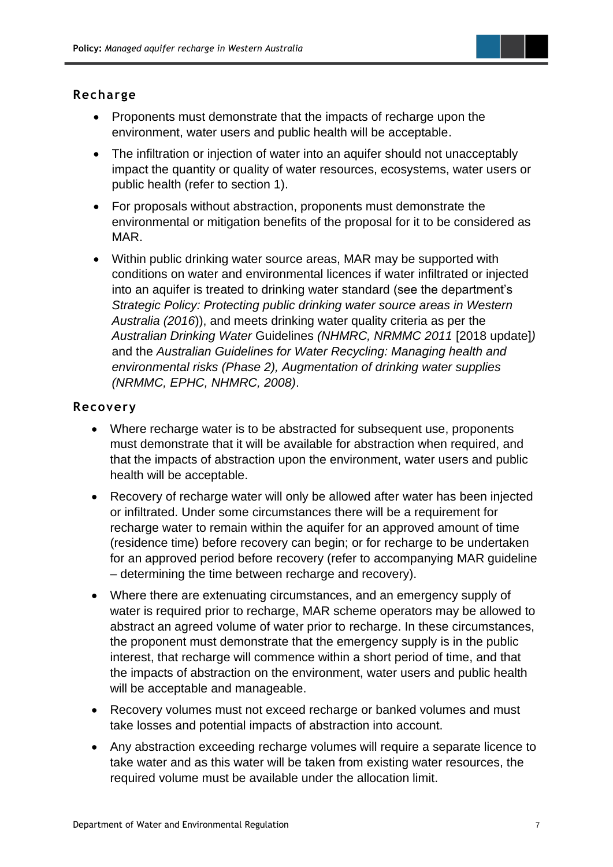

### **Recharge**

- Proponents must demonstrate that the impacts of recharge upon the environment, water users and public health will be acceptable.
- The infiltration or injection of water into an aquifer should not unacceptably impact the quantity or quality of water resources, ecosystems, water users or public health (refer to section 1).
- For proposals without abstraction, proponents must demonstrate the environmental or mitigation benefits of the proposal for it to be considered as MAR.
- Within public drinking water source areas, MAR may be supported with conditions on water and environmental licences if water infiltrated or injected into an aquifer is treated to drinking water standard (see the department's *Strategic Policy: Protecting public drinking water source areas in Western Australia (2016*)), and meets drinking water quality criteria as per the *Australian Drinking Water* Guidelines *(NHMRC, NRMMC 2011* [2018 update]*)* and the *Australian Guidelines for Water Recycling: Managing health and environmental risks (Phase 2), Augmentation of drinking water supplies (NRMMC, EPHC, NHMRC, 2008)*.

### **Recovery**

- Where recharge water is to be abstracted for subsequent use, proponents must demonstrate that it will be available for abstraction when required, and that the impacts of abstraction upon the environment, water users and public health will be acceptable.
- Recovery of recharge water will only be allowed after water has been injected or infiltrated. Under some circumstances there will be a requirement for recharge water to remain within the aquifer for an approved amount of time (residence time) before recovery can begin; or for recharge to be undertaken for an approved period before recovery (refer to accompanying MAR guideline – determining the time between recharge and recovery).
- Where there are extenuating circumstances, and an emergency supply of water is required prior to recharge, MAR scheme operators may be allowed to abstract an agreed volume of water prior to recharge. In these circumstances, the proponent must demonstrate that the emergency supply is in the public interest, that recharge will commence within a short period of time, and that the impacts of abstraction on the environment, water users and public health will be acceptable and manageable.
- Recovery volumes must not exceed recharge or banked volumes and must take losses and potential impacts of abstraction into account.
- Any abstraction exceeding recharge volumes will require a separate licence to take water and as this water will be taken from existing water resources, the required volume must be available under the allocation limit.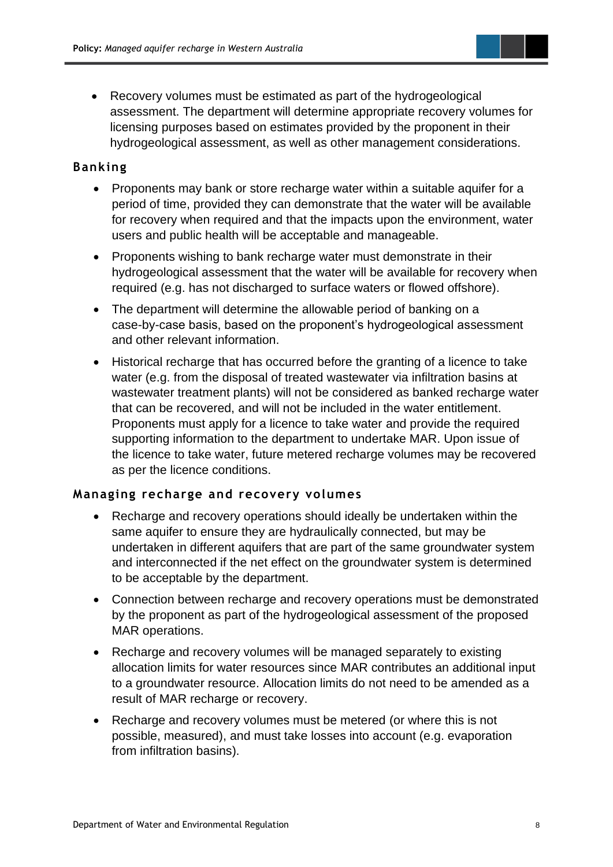- 
- Recovery volumes must be estimated as part of the hydrogeological assessment. The department will determine appropriate recovery volumes for licensing purposes based on estimates provided by the proponent in their hydrogeological assessment, as well as other management considerations.

### **Banking**

- Proponents may bank or store recharge water within a suitable aquifer for a period of time, provided they can demonstrate that the water will be available for recovery when required and that the impacts upon the environment, water users and public health will be acceptable and manageable.
- Proponents wishing to bank recharge water must demonstrate in their hydrogeological assessment that the water will be available for recovery when required (e.g. has not discharged to surface waters or flowed offshore).
- The department will determine the allowable period of banking on a case-by-case basis, based on the proponent's hydrogeological assessment and other relevant information.
- Historical recharge that has occurred before the granting of a licence to take water (e.g. from the disposal of treated wastewater via infiltration basins at wastewater treatment plants) will not be considered as banked recharge water that can be recovered, and will not be included in the water entitlement. Proponents must apply for a licence to take water and provide the required supporting information to the department to undertake MAR. Upon issue of the licence to take water, future metered recharge volumes may be recovered as per the licence conditions.

### **Managing recharge and recovery volumes**

- Recharge and recovery operations should ideally be undertaken within the same aquifer to ensure they are hydraulically connected, but may be undertaken in different aquifers that are part of the same groundwater system and interconnected if the net effect on the groundwater system is determined to be acceptable by the department.
- Connection between recharge and recovery operations must be demonstrated by the proponent as part of the hydrogeological assessment of the proposed MAR operations.
- Recharge and recovery volumes will be managed separately to existing allocation limits for water resources since MAR contributes an additional input to a groundwater resource. Allocation limits do not need to be amended as a result of MAR recharge or recovery.
- Recharge and recovery volumes must be metered (or where this is not possible, measured), and must take losses into account (e.g. evaporation from infiltration basins).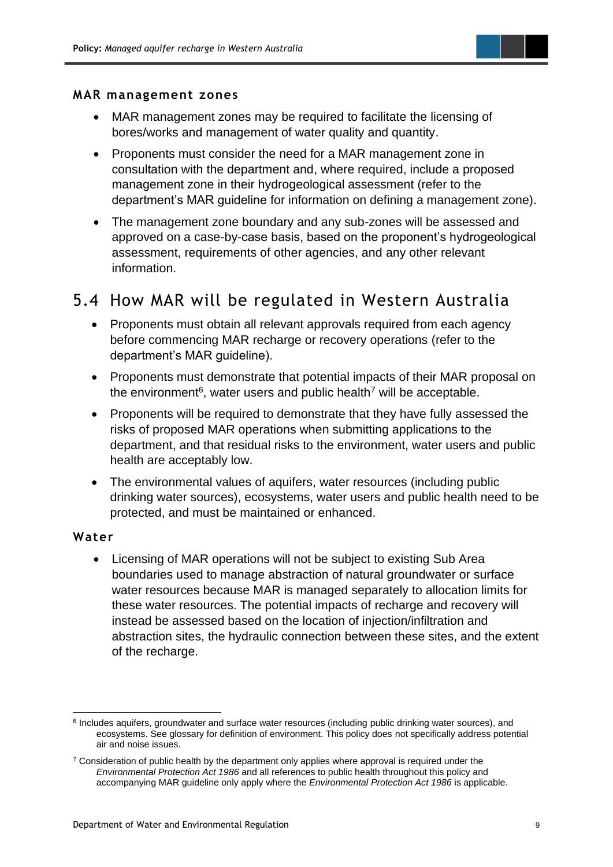

#### **MAR management zones**

- MAR management zones may be required to facilitate the licensing of bores/works and management of water quality and quantity.
- Proponents must consider the need for a MAR management zone in consultation with the department and, where required, include a proposed management zone in their hydrogeological assessment (refer to the department's MAR guideline for information on defining a management zone).
- The management zone boundary and any sub-zones will be assessed and approved on a case-by-case basis, based on the proponent's hydrogeological assessment, requirements of other agencies, and any other relevant information.

## <span id="page-11-0"></span>5.4 How MAR will be regulated in Western Australia

- Proponents must obtain all relevant approvals required from each agency before commencing MAR recharge or recovery operations (refer to the department's MAR guideline).
- Proponents must demonstrate that potential impacts of their MAR proposal on the environment<sup>6</sup>, water users and public health<sup>7</sup> will be acceptable.
- Proponents will be required to demonstrate that they have fully assessed the risks of proposed MAR operations when submitting applications to the department, and that residual risks to the environment, water users and public health are acceptably low.
- The environmental values of aquifers, water resources (including public drinking water sources), ecosystems, water users and public health need to be protected, and must be maintained or enhanced.

### **Water**

• Licensing of MAR operations will not be subject to existing Sub Area boundaries used to manage abstraction of natural groundwater or surface water resources because MAR is managed separately to allocation limits for these water resources. The potential impacts of recharge and recovery will instead be assessed based on the location of injection/infiltration and abstraction sites, the hydraulic connection between these sites, and the extent of the recharge.

<sup>&</sup>lt;sup>6</sup> Includes aquifers, groundwater and surface water resources (including public drinking water sources), and ecosystems. See glossary for definition of environment. This policy does not specifically address potential air and noise issues.

 $7$  Consideration of public health by the department only applies where approval is required under the *Environmental Protection Act 1986* and all references to public health throughout this policy and accompanying MAR guideline only apply where the *Environmental Protection Act 1986* is applicable.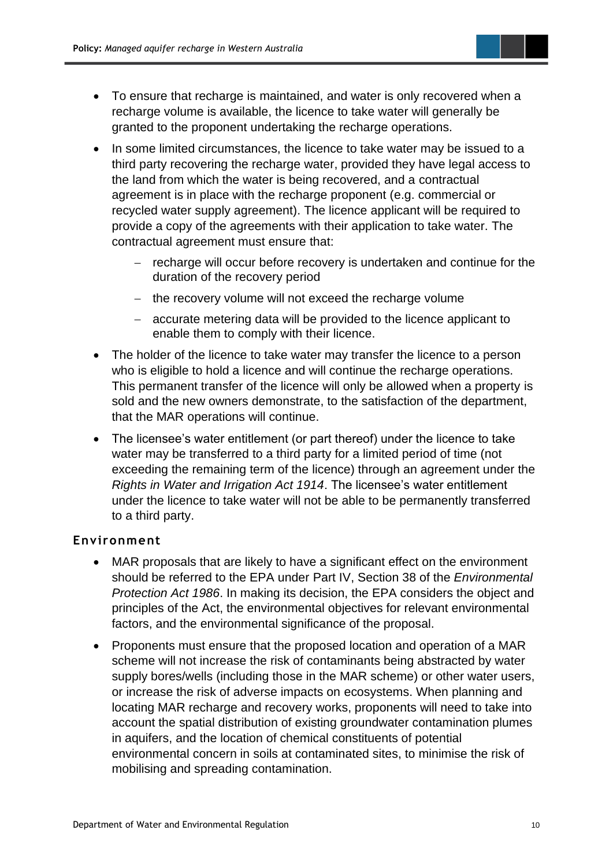

- To ensure that recharge is maintained, and water is only recovered when a recharge volume is available, the licence to take water will generally be granted to the proponent undertaking the recharge operations.
- In some limited circumstances, the licence to take water may be issued to a third party recovering the recharge water, provided they have legal access to the land from which the water is being recovered, and a contractual agreement is in place with the recharge proponent (e.g. commercial or recycled water supply agreement). The licence applicant will be required to provide a copy of the agreements with their application to take water. The contractual agreement must ensure that:
	- − recharge will occur before recovery is undertaken and continue for the duration of the recovery period
	- − the recovery volume will not exceed the recharge volume
	- − accurate metering data will be provided to the licence applicant to enable them to comply with their licence.
- The holder of the licence to take water may transfer the licence to a person who is eligible to hold a licence and will continue the recharge operations. This permanent transfer of the licence will only be allowed when a property is sold and the new owners demonstrate, to the satisfaction of the department, that the MAR operations will continue.
- The licensee's water entitlement (or part thereof) under the licence to take water may be transferred to a third party for a limited period of time (not exceeding the remaining term of the licence) through an agreement under the *Rights in Water and Irrigation Act 1914*. The licensee's water entitlement under the licence to take water will not be able to be permanently transferred to a third party.

### **Environment**

- MAR proposals that are likely to have a significant effect on the environment should be referred to the EPA under Part IV, Section 38 of the *Environmental Protection Act 1986*. In making its decision, the EPA considers the object and principles of the Act, the environmental objectives for relevant environmental factors, and the environmental significance of the proposal.
- Proponents must ensure that the proposed location and operation of a MAR scheme will not increase the risk of contaminants being abstracted by water supply bores/wells (including those in the MAR scheme) or other water users, or increase the risk of adverse impacts on ecosystems. When planning and locating MAR recharge and recovery works, proponents will need to take into account the spatial distribution of existing groundwater contamination plumes in aquifers, and the location of chemical constituents of potential environmental concern in soils at contaminated sites, to minimise the risk of mobilising and spreading contamination.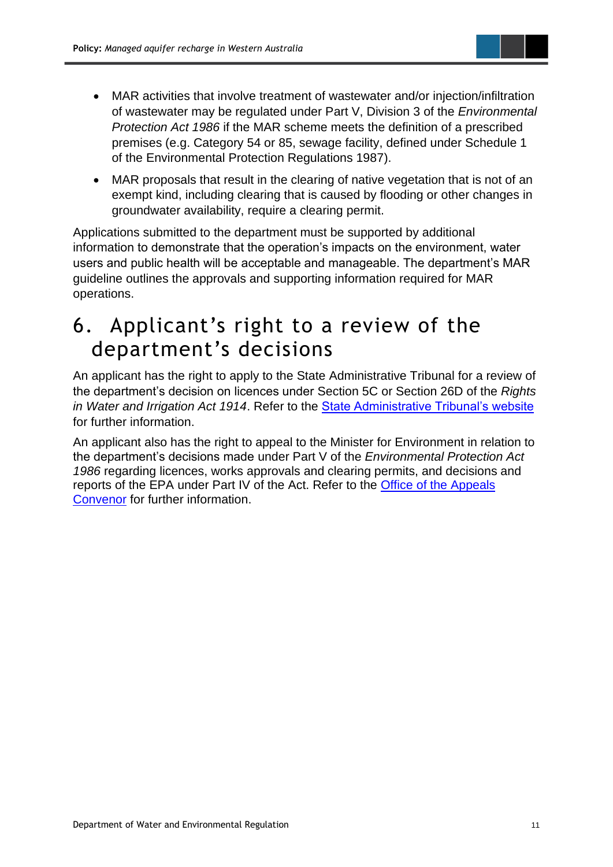

• MAR proposals that result in the clearing of native vegetation that is not of an exempt kind, including clearing that is caused by flooding or other changes in groundwater availability, require a clearing permit.

Applications submitted to the department must be supported by additional information to demonstrate that the operation's impacts on the environment, water users and public health will be acceptable and manageable. The department's MAR guideline outlines the approvals and supporting information required for MAR operations.

# <span id="page-13-0"></span>6. Applicant's right to a review of the department's decisions

An applicant has the right to apply to the State Administrative Tribunal for a review of the department's decision on licences under Section 5C or Section 26D of the *Rights in Water and Irrigation Act 1914*. Refer to the [State Administrative Tribunal's website](http://www.sat.justice.wa.gov.au/) for further information.

An applicant also has the right to appeal to the Minister for Environment in relation to the department's decisions made under Part V of the *Environmental Protection Act 1986* regarding licences, works approvals and clearing permits, and decisions and reports of the EPA under Part IV of the Act. Refer to the [Office of the Appeals](http://www.appealsconvenor.wa.gov.au/)  [Convenor](http://www.appealsconvenor.wa.gov.au/) for further information.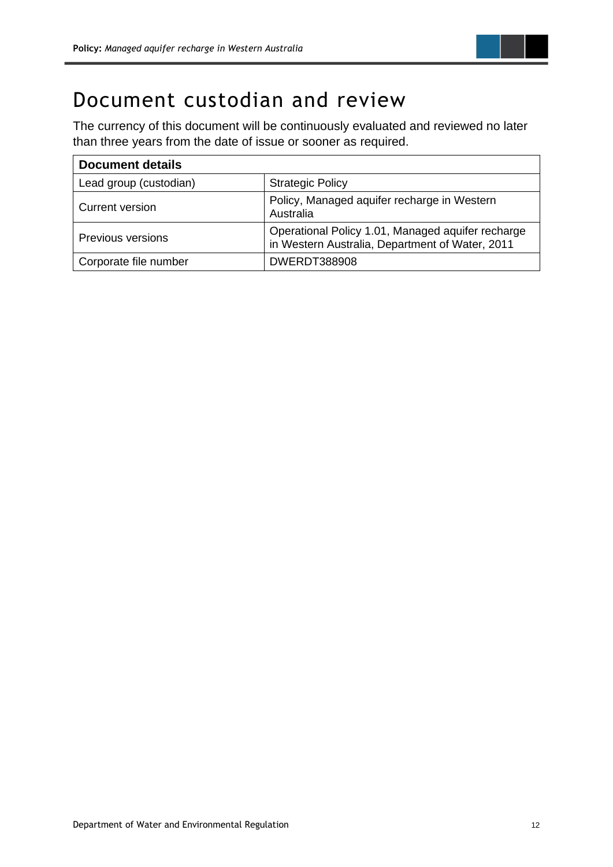

# <span id="page-14-0"></span>Document custodian and review

The currency of this document will be continuously evaluated and reviewed no later than three years from the date of issue or sooner as required.

| <b>Document details</b>  |                                                                                                      |  |  |  |  |
|--------------------------|------------------------------------------------------------------------------------------------------|--|--|--|--|
| Lead group (custodian)   | <b>Strategic Policy</b>                                                                              |  |  |  |  |
| Current version          | Policy, Managed aquifer recharge in Western<br>Australia                                             |  |  |  |  |
| <b>Previous versions</b> | Operational Policy 1.01, Managed aquifer recharge<br>in Western Australia, Department of Water, 2011 |  |  |  |  |
| Corporate file number    | <b>DWERDT388908</b>                                                                                  |  |  |  |  |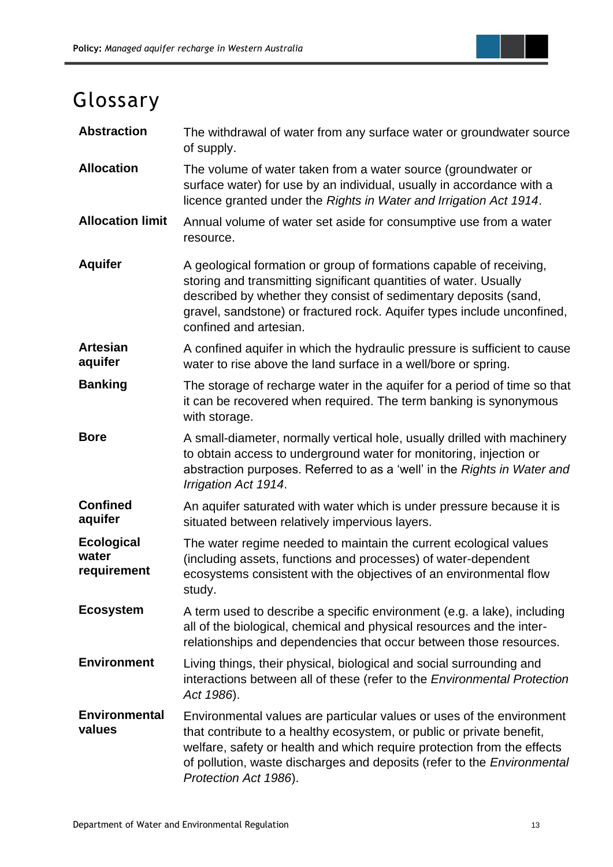

# <span id="page-15-0"></span>Glossary

| <b>Abstraction</b>                        | The withdrawal of water from any surface water or groundwater source<br>of supply.                                                                                                                                                                                                                                                   |
|-------------------------------------------|--------------------------------------------------------------------------------------------------------------------------------------------------------------------------------------------------------------------------------------------------------------------------------------------------------------------------------------|
| <b>Allocation</b>                         | The volume of water taken from a water source (groundwater or<br>surface water) for use by an individual, usually in accordance with a<br>licence granted under the Rights in Water and Irrigation Act 1914.                                                                                                                         |
| <b>Allocation limit</b>                   | Annual volume of water set aside for consumptive use from a water<br>resource.                                                                                                                                                                                                                                                       |
| <b>Aquifer</b>                            | A geological formation or group of formations capable of receiving,<br>storing and transmitting significant quantities of water. Usually<br>described by whether they consist of sedimentary deposits (sand,<br>gravel, sandstone) or fractured rock. Aquifer types include unconfined,<br>confined and artesian.                    |
| <b>Artesian</b><br>aquifer                | A confined aquifer in which the hydraulic pressure is sufficient to cause<br>water to rise above the land surface in a well/bore or spring.                                                                                                                                                                                          |
| <b>Banking</b>                            | The storage of recharge water in the aquifer for a period of time so that<br>it can be recovered when required. The term banking is synonymous<br>with storage.                                                                                                                                                                      |
| <b>Bore</b>                               | A small-diameter, normally vertical hole, usually drilled with machinery<br>to obtain access to underground water for monitoring, injection or<br>abstraction purposes. Referred to as a 'well' in the Rights in Water and<br>Irrigation Act 1914.                                                                                   |
| <b>Confined</b><br>aquifer                | An aquifer saturated with water which is under pressure because it is<br>situated between relatively impervious layers.                                                                                                                                                                                                              |
| <b>Ecological</b><br>water<br>requirement | The water regime needed to maintain the current ecological values<br>(including assets, functions and processes) of water-dependent<br>ecosystems consistent with the objectives of an environmental flow<br>study.                                                                                                                  |
| <b>Ecosystem</b>                          | A term used to describe a specific environment (e.g. a lake), including<br>all of the biological, chemical and physical resources and the inter-<br>relationships and dependencies that occur between those resources.                                                                                                               |
| <b>Environment</b>                        | Living things, their physical, biological and social surrounding and<br>interactions between all of these (refer to the Environmental Protection<br>Act 1986).                                                                                                                                                                       |
| <b>Environmental</b><br>values            | Environmental values are particular values or uses of the environment<br>that contribute to a healthy ecosystem, or public or private benefit,<br>welfare, safety or health and which require protection from the effects<br>of pollution, waste discharges and deposits (refer to the <i>Environmental</i><br>Protection Act 1986). |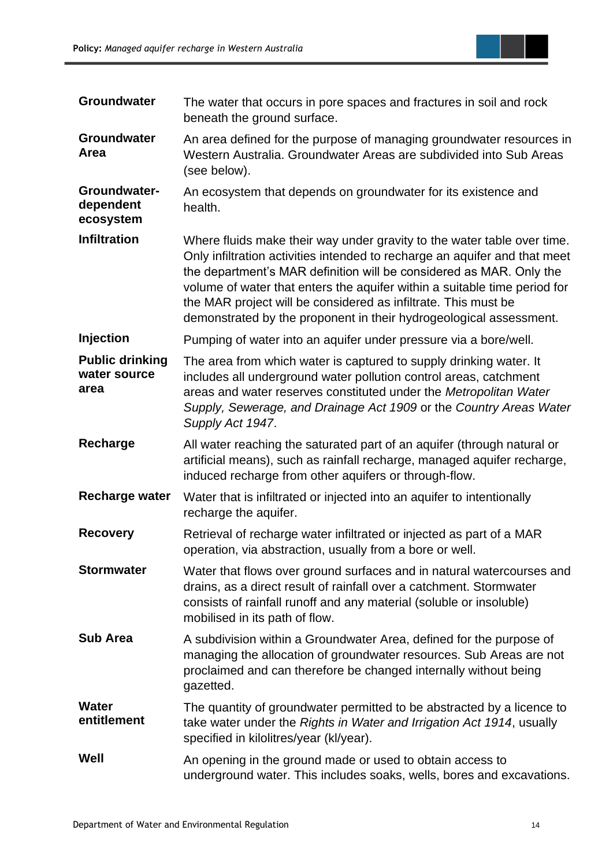

| Groundwater                                    | The water that occurs in pore spaces and fractures in soil and rock<br>beneath the ground surface.                                                                                                                                                                                                                                                                                                                                                |
|------------------------------------------------|---------------------------------------------------------------------------------------------------------------------------------------------------------------------------------------------------------------------------------------------------------------------------------------------------------------------------------------------------------------------------------------------------------------------------------------------------|
| <b>Groundwater</b><br>Area                     | An area defined for the purpose of managing groundwater resources in<br>Western Australia. Groundwater Areas are subdivided into Sub Areas<br>(see below).                                                                                                                                                                                                                                                                                        |
| Groundwater-<br>dependent<br>ecosystem         | An ecosystem that depends on groundwater for its existence and<br>health.                                                                                                                                                                                                                                                                                                                                                                         |
| <b>Infiltration</b>                            | Where fluids make their way under gravity to the water table over time.<br>Only infiltration activities intended to recharge an aquifer and that meet<br>the department's MAR definition will be considered as MAR. Only the<br>volume of water that enters the aquifer within a suitable time period for<br>the MAR project will be considered as infiltrate. This must be<br>demonstrated by the proponent in their hydrogeological assessment. |
| <b>Injection</b>                               | Pumping of water into an aquifer under pressure via a bore/well.                                                                                                                                                                                                                                                                                                                                                                                  |
| <b>Public drinking</b><br>water source<br>area | The area from which water is captured to supply drinking water. It<br>includes all underground water pollution control areas, catchment<br>areas and water reserves constituted under the Metropolitan Water<br>Supply, Sewerage, and Drainage Act 1909 or the Country Areas Water<br>Supply Act 1947.                                                                                                                                            |
| Recharge                                       | All water reaching the saturated part of an aquifer (through natural or<br>artificial means), such as rainfall recharge, managed aquifer recharge,<br>induced recharge from other aquifers or through-flow.                                                                                                                                                                                                                                       |
| <b>Recharge water</b>                          | Water that is infiltrated or injected into an aquifer to intentionally<br>recharge the aquifer.                                                                                                                                                                                                                                                                                                                                                   |
| <b>Recovery</b>                                | Retrieval of recharge water infiltrated or injected as part of a MAR<br>operation, via abstraction, usually from a bore or well.                                                                                                                                                                                                                                                                                                                  |
| <b>Stormwater</b>                              | Water that flows over ground surfaces and in natural watercourses and<br>drains, as a direct result of rainfall over a catchment. Stormwater<br>consists of rainfall runoff and any material (soluble or insoluble)<br>mobilised in its path of flow.                                                                                                                                                                                             |
| <b>Sub Area</b>                                | A subdivision within a Groundwater Area, defined for the purpose of<br>managing the allocation of groundwater resources. Sub Areas are not<br>proclaimed and can therefore be changed internally without being<br>gazetted.                                                                                                                                                                                                                       |
| <b>Water</b><br>entitlement                    | The quantity of groundwater permitted to be abstracted by a licence to<br>take water under the Rights in Water and Irrigation Act 1914, usually<br>specified in kilolitres/year (kl/year).                                                                                                                                                                                                                                                        |
| Well                                           | An opening in the ground made or used to obtain access to<br>underground water. This includes soaks, wells, bores and excavations.                                                                                                                                                                                                                                                                                                                |